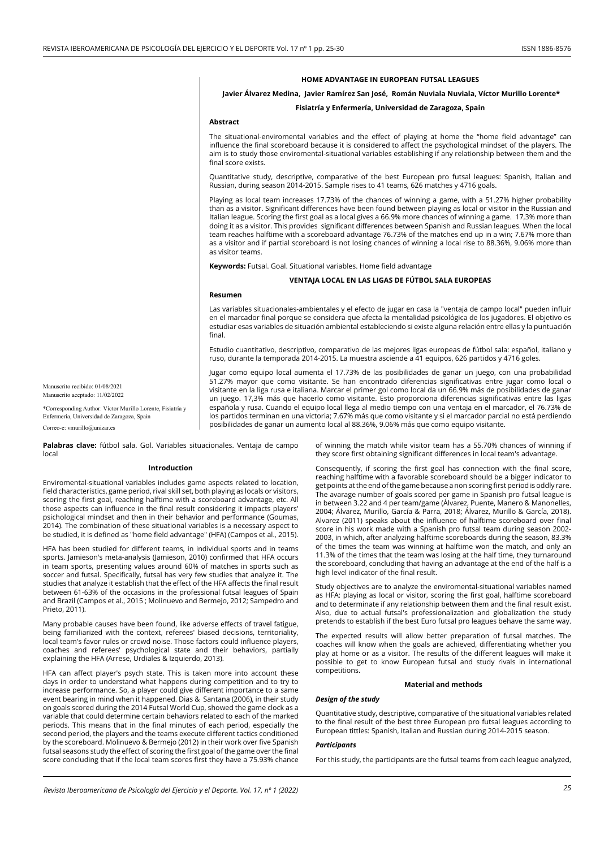## **HOME ADVANTAGE IN EUROPEAN FUTSAL LEAGUES**

## **Javier Álvarez Medina, Javier Ramírez San José, Román Nuviala Nuviala, Víctor Murillo Lorente\***

## **Fisiatría y Enfermería, Universidad de Zaragoza, Spain**

## **Abstract**

The situational-enviromental variables and the effect of playing at home the "home field advantage" can influence the final scoreboard because it is considered to affect the psychological mindset of the players. The aim is to study those enviromental-situational variables establishing if any relationship between them and the final score exists.

Quantitative study, descriptive, comparative of the best European pro futsal leagues: Spanish, Italian and Russian, during season 2014-2015. Sample rises to 41 teams, 626 matches y 4716 goals.

Playing as local team increases 17.73% of the chances of winning a game, with a 51.27% higher probability than as a visitor. Significant differences have been found between playing as local or visitor in the Russian and Italian league. Scoring the first goal as a local gives a 66.9% more chances of winning a game. 17,3% more than doing it as a visitor. This provides significant differences between Spanish and Russian leagues. When the local team reaches halftime with a scoreboard advantage 76.73% of the matches end up in a win; 7.67% more than as a visitor and if partial scoreboard is not losing chances of winning a local rise to 88.36%, 9.06% more than as visitor teams.

**Keywords:** Futsal. Goal. Situational variables. Home field advantage

## **VENTAJA LOCAL EN LAS LIGAS DE FÚTBOL SALA EUROPEAS**

#### **Resumen**

Las variables situacionales-ambientales y el efecto de jugar en casa la "ventaja de campo local" pueden influir en el marcador final porque se considera que afecta la mentalidad psicológica de los jugadores. El objetivo es estudiar esas variables de situación ambiental estableciendo si existe alguna relación entre ellas y la puntuación final.

Estudio cuantitativo, descriptivo, comparativo de las mejores ligas europeas de fútbol sala: español, italiano y ruso, durante la temporada 2014-2015. La muestra asciende a 41 equipos, 626 partidos y 4716 goles.

Jugar como equipo local aumenta el 17.73% de las posibilidades de ganar un juego, con una probabilidad 51.27% mayor que como visitante. Se han encontrado diferencias significativas entre jugar como local o visitante en la liga rusa e italiana. Marcar el primer gol como local da un 66.9% más de posibilidades de ganar un juego. 17,3% más que hacerlo como visitante. Esto proporciona diferencias significativas entre las ligas española y rusa. Cuando el equipo local llega al medio tiempo con una ventaja en el marcador, el 76.73% de los partidos terminan en una victoria; 7.67% más que como visitante y si el marcador parcial no está perdiendo posibilidades de ganar un aumento local al 88.36%, 9.06% más que como equipo visitante.

Manuscrito recibido: 01/08/2021 Manuscrito aceptado: 11/02/2022

\*Corresponding Author: Víctor Murillo Lorente, Fisiatría y Enfermería, Universidad de Zaragoza, Spain Correo-e: vmurillo@unizar.es

**Palabras clave:** fútbol sala. Gol. Variables situacionales. Ventaja de campo local

## **Introduction**

Enviromental-situational variables includes game aspects related to location, field characteristics, game period, rival skill set, both playing as locals or visitors, scoring the first goal, reaching halftime with a scoreboard advantage, etc. All those aspects can influence in the final result considering it impacts players' psichological mindset and then in their behavior and performance (Goumas, 2014). The combination of these situational variables is a necessary aspect to be studied, it is defined as "home field advantage" (HFA) (Campos et al., 2015).

HFA has been studied for different teams, in individual sports and in teams sports. Jamieson's meta-analysis (Jamieson, 2010) confirmed that HFA occurs in team sports, presenting values around 60% of matches in sports such as soccer and futsal. Specifically, futsal has very few studies that analyze it. The studies that analyze it establish that the effect of the HFA affects the final result between 61-63% of the occasions in the professional futsal leagues of Spain and Brazil (Campos et al., 2015 ; Molinuevo and Bermejo, 2012; Sampedro and Prieto, 2011).

Many probable causes have been found, like adverse effects of travel fatigue, being familiarized with the context, referees' biased decisions, territoriality, local team's favor rules or crowd noise. Those factors could influence players, coaches and referees' psychological state and their behaviors, partially explaining the HFA (Arrese, Urdiales & Izquierdo, 2013).

HFA can affect player's psych state. This is taken more into account these days in order to understand what happens during competition and to try to increase performance. So, a player could give different importance to a same event bearing in mind when it happened. Dias & Santana (2006), in their study on goals scored during the 2014 Futsal World Cup, showed the game clock as a variable that could determine certain behaviors related to each of the marked periods. This means that in the final minutes of each period, especially the second period, the players and the teams execute different tactics conditioned by the scoreboard. Molinuevo & Bermejo (2012) in their work over five Spanish futsal seasons study the effect of scoring the first goal of the game over the final score concluding that if the local team scores first they have a 75.93% chance of winning the match while visitor team has a 55.70% chances of winning if they score first obtaining significant differences in local team's advantage.

Consequently, if scoring the first goal has connection with the final score, reaching halftime with a favorable scoreboard should be a bigger indicator to get points at the end of the game because a non scoring first period is oddly rare.  $\overline{a}$  The avarage number of goals scored per game in Spanish pro futsal league is in between 3.22 and 4 per team/game (Álvarez, Puente, Manero & Manonelles, 2004; Álvarez, Murillo, García & Parra, 2018; Álvarez, Murillo & García, 2018). Alvarez (2011) speaks about the influence of halftime scoreboard over final score in his work made with a Spanish pro futsal team during season 2002- 2003, in which, after analyzing halftime scoreboards during the season, 83.3% of the times the team was winning at halftime won the match, and only an 11.3% of the times that the team was losing at the half time, they turnaround the scoreboard, concluding that having an advantage at the end of the half is a high level indicator of the final result.

Study objectives are to analyze the enviromental-situational variables named as HFA: playing as local or visitor, scoring the first goal, halftime scoreboard and to determinate if any relationship between them and the final result exist. Also, due to actual futsal's professionalization and globalization the study pretends to establish if the best Euro futsal pro leagues behave the same way.

The expected results will allow better preparation of futsal matches. The coaches will know when the goals are achieved, differentiating whether you play at home or as a visitor. The results of the different leagues will make it possible to get to know European futsal and study rivals in international competitions.

### **Material and methods**

## *Design of the study*

Quantitative study, descriptive, comparative of the situational variables related to the final result of the best three European pro futsal leagues according to European tittles: Spanish, Italian and Russian during 2014-2015 season.

## *Participants*

For this study, the participants are the futsal teams from each league analyzed,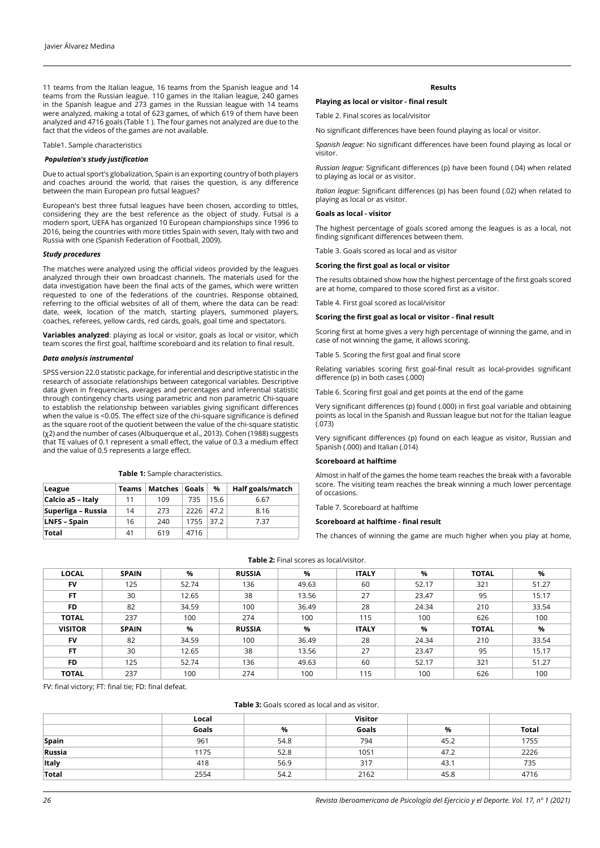11 teams from the Italian league, 16 teams from the Spanish league and 14 teams from the Russian league. 110 games in the Italian league, 240 games in the Spanish league and 273 games in the Russian league with 14 teams were analyzed, making a total of 623 games, of which 619 of them have been analyzed and 4716 goals (Table 1 ). The four games not analyzed are due to the fact that the videos of the games are not available.

Table1. Sample characteristics

## *Population's study justification*

Due to actual sport's globalization, Spain is an exporting country of both players and coaches around the world, that raises the question, is any difference between the main European pro futsal leagues?

European's best three futsal leagues have been chosen, according to tittles, considering they are the best reference as the object of study. Futsal is a modern sport, UEFA has organized 10 European championships since 1996 to 2016, being the countries with more tittles Spain with seven, Italy with two and Russia with one (Spanish Federation of Football, 2009).

#### *Study procedures*

The matches were analyzed using the official videos provided by the leagues analyzed through their own broadcast channels. The materials used for the data investigation have been the final acts of the games, which were written requested to one of the federations of the countries. Response obtained, referring to the official websites of all of them, where the data can be read: date, week, location of the match, starting players, summoned players, coaches, referees, yellow cards, red cards, goals, goal time and spectators.

**Variables analyzed**: playing as local or visitor, goals as local or visitor, which team scores the first goal, halftime scoreboard and its relation to final result.

## *Data analysis instrumental*

SPSS version 22.0 statistic package, for inferential and descriptive statistic in the research of associate relationships between categorical variables. Descriptive data given in frequencies, averages and percentages and inferential statistic through contingency charts using parametric and non parametric Chi-square to establish the relationship between variables giving significant differences when the value is <0.05. The effect size of the chi-square significance is defined as the square root of the quotient between the value of the chi-square statistic (χ2) and the number of cases (Albuquerque et al., 2013). Cohen (1988) suggests that TE values of 0.1 represent a small effect, the value of 0.3 a medium effect and the value of 0.5 represents a large effect.

#### **Table 1:** Sample characteristics.

| League              | Teams | Matches | Goals | %    | Half goals/match |
|---------------------|-------|---------|-------|------|------------------|
| Calcio a5 - Italy   | 11    | 109     | 735   | 15.6 | 6.67             |
| Superliga - Russia  | 14    | 273     | 2226  | 47.2 | 8.16             |
| <b>LNFS - Spain</b> | 16    | 240     | 1755  | 37.2 | 7.37             |
| Total               | 41    | 619     | 4716  |      |                  |

#### **Results**

## **Playing as local or visitor - final result**

Table 2. Final scores as local/visitor

No significant differences have been found playing as local or visitor.

*Spanish league:* No significant differences have been found playing as local or visitor.

*Russian league:* Significant differences (p) have been found (.04) when related to playing as local or as visitor.

*Italian league:* Significant differences (p) has been found (.02) when related to playing as local or as visitor.

## **Goals as local - visitor**

The highest percentage of goals scored among the leagues is as a local, not finding significant differences between them.

Table 3. Goals scored as local and as visitor

### **Scoring the first goal as local or visitor**

The results obtained show how the highest percentage of the first goals scored are at home, compared to those scored first as a visitor.

Table 4. First goal scored as local/visitor

## **Scoring the first goal as local or visitor - final result**

Scoring first at home gives a very high percentage of winning the game, and in case of not winning the game, it allows scoring.

Table 5. Scoring the first goal and final score

Relating variables scoring first goal-final result as local-provides significant difference (p) in both cases (.000)

Table 6. Scoring first goal and get points at the end of the game

Very significant differences (p) found (.000) in first goal variable and obtaining points as local in the Spanish and Russian league but not for the Italian league  $(.073)$ 

Very significant differences (p) found on each league as visitor, Russian and Spanish (.000) and Italian (.014)

## **Scoreboard at halftime**

Almost in half of the games the home team reaches the break with a favorable score. The visiting team reaches the break winning a much lower percentage of occasions.

### Table 7. Scoreboard at halftime

## **Scoreboard at halftime - final result**

The chances of winning the game are much higher when you play at home,

| <b>Table 2:</b> Final scores as local/visitor. |  |  |
|------------------------------------------------|--|--|
|------------------------------------------------|--|--|

| <b>LOCAL</b>   | <b>SPAIN</b> | %     | <b>RUSSIA</b> | %     | <b>ITALY</b> | %     | <b>TOTAL</b> | %     |
|----------------|--------------|-------|---------------|-------|--------------|-------|--------------|-------|
| <b>FV</b>      | 125          | 52.74 | 136           | 49.63 | 60           | 52.17 | 321          | 51.27 |
| <b>FT</b>      | 30           | 12.65 | 38            | 13.56 | 27           | 23.47 | 95           | 15.17 |
| <b>FD</b>      | 82           | 34.59 | 100           | 36.49 | 28           | 24.34 | 210          | 33.54 |
| <b>TOTAL</b>   | 237          | 100   | 274           | 100   | 115          | 100   | 626          | 100   |
| <b>VISITOR</b> | <b>SPAIN</b> | %     | <b>RUSSIA</b> | %     | <b>ITALY</b> | %     | <b>TOTAL</b> | %     |
| <b>FV</b>      | 82           | 34.59 | 100           | 36.49 | 28           | 24.34 | 210          | 33.54 |
| FT             | 30           | 12.65 | 38            | 13.56 | 27           | 23.47 | 95           | 15.17 |
| <b>FD</b>      | 125          | 52.74 | 136           | 49.63 | 60           | 52.17 | 321          | 51.27 |
| <b>TOTAL</b>   | 237          | 100   | 274           | 100   | 115          | 100   | 626          | 100   |

FV: final victory; FT: final tie; FD: final defeat.

## **Table 3:** Goals scored as local and as visitor.

|        | Local |      | <b>Visitor</b> |      |       |
|--------|-------|------|----------------|------|-------|
|        | Goals | %    | Goals          | %    | Total |
| Spain  | 961   | 54.8 | 794            | 45.2 | 1755  |
| Russia | 1175  | 52.8 | 1051           | 47.2 | 2226  |
| Italy  | 418   | 56.9 | 317            | 43.1 | 735   |
| Total  | 2554  | 54.2 | 2162           | 45.8 | 4716  |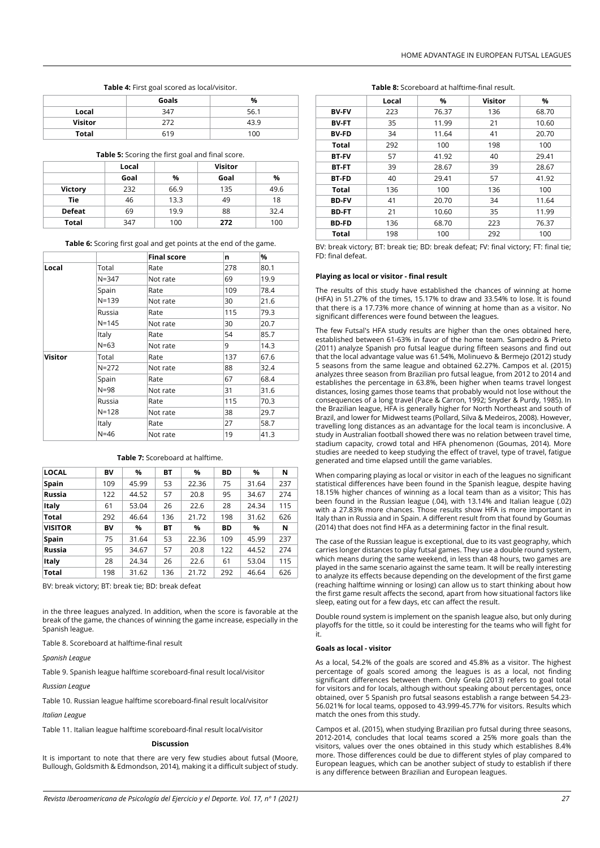## **Table 4:** First goal scored as local/visitor.

|                | Goals | %    |
|----------------|-------|------|
| Local          | 347   | 56.1 |
| <b>Visitor</b> | 272   | 43.9 |
| Total          | 619   | 100  |

#### **Table 5:** Scoring the first goal and final score.

|                | Local |      | Visitor |      |
|----------------|-------|------|---------|------|
|                | Goal  | %    | Goal    | %    |
| <b>Victory</b> | 232   | 66.9 | 135     | 49.6 |
| Tie            | 46    | 13.3 | 49      | 18   |
| <b>Defeat</b>  | 69    | 19.9 | 88      | 32.4 |
| Total          | 347   | 100  | 272     | 100  |

**Table 6:** Scoring first goal and get points at the end of the game.

|         |           | <b>Final score</b> | n   | %    |
|---------|-----------|--------------------|-----|------|
| Local   | Total     | Rate               | 278 | 80.1 |
|         | $N = 347$ | Not rate           | 69  | 19.9 |
|         | Spain     | Rate               | 109 | 78.4 |
|         | $N = 139$ | Not rate           | 30  | 21.6 |
|         | Russia    | Rate               | 115 | 79.3 |
|         | $N = 145$ | Not rate           | 30  | 20.7 |
|         | Italy     | Rate               | 54  | 85.7 |
|         | $N=63$    | Not rate           | 9   | 14.3 |
| Visitor | Total     | Rate               | 137 | 67.6 |
|         | $N = 272$ | Not rate           | 88  | 32.4 |
|         | Spain     | Rate               | 67  | 68.4 |
|         | $N = 98$  | Not rate           | 31  | 31.6 |
|         | Russia    | Rate               | 115 | 70.3 |
|         | $N = 128$ | Not rate           | 38  | 29.7 |
|         | Italy     | Rate               | 27  | 58.7 |
|         | $N = 46$  | Not rate           | 19  | 41.3 |

#### **Table 7:** Scoreboard at halftime.

| <b>LOCAL</b>   | BV  | %     | <b>BT</b> | %     | BD  | %     | N   |
|----------------|-----|-------|-----------|-------|-----|-------|-----|
| <b>Spain</b>   | 109 | 45.99 | 53        | 22.36 | 75  | 31.64 | 237 |
| Russia         | 122 | 44.52 | 57        | 20.8  | 95  | 34.67 | 274 |
| Italy          | 61  | 53.04 | 26        | 22.6  | 28  | 24.34 | 115 |
| <b>Total</b>   | 292 | 46.64 | 136       | 21.72 | 198 | 31.62 | 626 |
| <b>VISITOR</b> | BV  | %     | <b>BT</b> | %     | BD  | %     | N   |
| <b>Spain</b>   | 75  | 31.64 | 53        | 22.36 | 109 | 45.99 | 237 |
| Russia         | 95  | 34.67 | 57        | 20.8  | 122 | 44.52 | 274 |
| Italy          | 28  | 24.34 | 26        | 22.6  | 61  | 53.04 | 115 |
| <b>Total</b>   | 198 | 31.62 | 136       | 21.72 | 292 | 46.64 | 626 |

BV: break victory; BT: break tie; BD: break defeat

in the three leagues analyzed. In addition, when the score is favorable at the break of the game, the chances of winning the game increase, especially in the Spanish league.

Table 8. Scoreboard at halftime-final result

*Spanish League*

Table 9. Spanish league halftime scoreboard-final result local/visitor

*Russian League*

Table 10. Russian league halftime scoreboard-final result local/visitor

*Italian League*

Table 11. Italian league halftime scoreboard-final result local/visitor

## **Discussion**

It is important to note that there are very few studies about futsal (Moore, Bullough, Goldsmith & Edmondson, 2014), making it a difficult subject of study.

#### **Table 8:** Scoreboard at halftime-final result.

|              | Local | %     | Visitor | %     |
|--------------|-------|-------|---------|-------|
| <b>BV-FV</b> | 223   | 76.37 | 136     | 68.70 |
| <b>BV-FT</b> | 35    | 11.99 | 21      | 10.60 |
| <b>BV-FD</b> | 34    | 11.64 | 41      | 20.70 |
| <b>Total</b> | 292   | 100   | 198     | 100   |
| <b>BT-FV</b> | 57    | 41.92 | 40      | 29.41 |
| <b>BT-FT</b> | 39    | 28.67 | 39      | 28.67 |
| <b>BT-FD</b> | 40    | 29.41 | 57      | 41.92 |
| <b>Total</b> | 136   | 100   | 136     | 100   |
| <b>BD-FV</b> | 41    | 20.70 | 34      | 11.64 |
| <b>BD-FT</b> | 21    | 10.60 | 35      | 11.99 |
| <b>BD-FD</b> | 136   | 68.70 | 223     | 76.37 |
| Total        | 198   | 100   | 292     | 100   |

BV: break victory; BT: break tie; BD: break defeat; FV: final victory; FT: final tie; FD: final defeat.

### **Playing as local or visitor - final result**

The results of this study have established the chances of winning at home (HFA) in 51.27% of the times, 15.17% to draw and 33.54% to lose. It is found that there is a 17.73% more chance of winning at home than as a visitor. No significant differences were found between the leagues.

The few Futsal's HFA study results are higher than the ones obtained here, established between 61-63% in favor of the home team. Sampedro & Prieto (2011) analyze Spanish pro futsal league during fifteen seasons and find out that the local advantage value was 61.54%, Molinuevo & Bermejo (2012) study 5 seasons from the same league and obtained 62.27%. Campos et al. (2015) analyzes three season from Brazilian pro futsal league, from 2012 to 2014 and establishes the percentage in 63.8%, been higher when teams travel longest distances, losing games those teams that probably would not lose without the consequences of a long travel (Pace & Carron, 1992; Snyder & Purdy, 1985). In the Brazilian league, HFA is generally higher for North Northeast and south of Brazil, and lower for Midwest teams (Pollard, Silva & Medeiros, 2008). However, travelling long distances as an advantage for the local team is inconclusive. A study in Australian football showed there was no relation between travel time, stadium capacity, crowd total and HFA phenomenon (Goumas, 2014). More studies are needed to keep studying the effect of travel, type of travel, fatigue generated and time elapsed untill the game variables.

When comparing playing as local or visitor in each of the leagues no significant statistical differences have been found in the Spanish league, despite having 18.15% higher chances of winning as a local team than as a visitor; This has been found in the Russian league (.04), with 13.14% and Italian league (.02) with a 27.83% more chances. Those results show HFA is more important in Italy than in Russia and in Spain. A different result from that found by Goumas (2014) that does not find HFA as a determining factor in the final result.

The case of the Russian league is exceptional, due to its vast geography, which carries longer distances to play futsal games. They use a double round system, which means during the same weekend, in less than 48 hours, two games are played in the same scenario against the same team. It will be really interesting to analyze its effects because depending on the development of the first game (reaching halftime winning or losing) can allow us to start thinking about how the first game result affects the second, apart from how situational factors like sleep, eating out for a few days, etc can affect the result.

Double round system is implement on the spanish league also, but only during playoffs for the tittle, so it could be interesting for the teams who will fight for it.

#### **Goals as local - visitor**

As a local, 54.2% of the goals are scored and 45.8% as a visitor. The highest percentage of goals scored among the leagues is as a local, not finding significant differences between them. Only Grela (2013) refers to goal total for visitors and for locals, although without speaking about percentages, once obtained, over 5 Spanish pro futsal seasons establish a range between 54.23- 56.021% for local teams, opposed to 43.999-45.77% for visitors. Results which match the ones from this study.

Campos et al. (2015), when studying Brazilian pro futsal during three seasons, 2012-2014, concludes that local teams scored a 25% more goals than the visitors, values over the ones obtained in this study which establishes 8.4% more. Those differences could be due to different styles of play compared to European leagues, which can be another subject of study to establish if there is any difference between Brazilian and European leagues.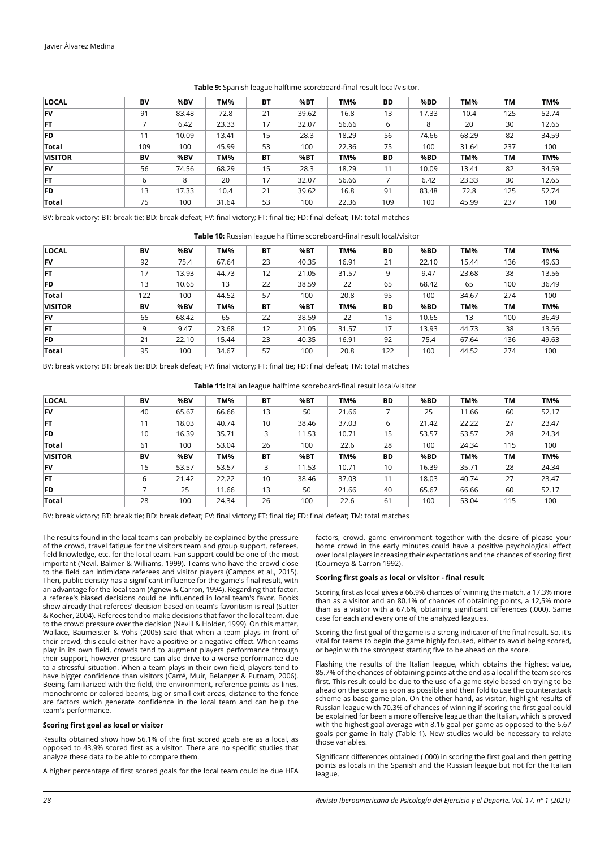| LOCAL          | BV  | %BV   | TM%   | <b>BT</b> | %BT   | TM%   | BD  | %BD   | TM%   | TМ  | TM%   |
|----------------|-----|-------|-------|-----------|-------|-------|-----|-------|-------|-----|-------|
| FV             | 91  | 83.48 | 72.8  | 21        | 39.62 | 16.8  | 13  | 17.33 | 10.4  | 125 | 52.74 |
| <b>FT</b>      |     | 6.42  | 23.33 | 17        | 32.07 | 56.66 | 6   | 8     | 20    | 30  | 12.65 |
| FD             | 11  | 10.09 | 13.41 | 15        | 28.3  | 18.29 | 56  | 74.66 | 68.29 | 82  | 34.59 |
| Total          | 109 | 100   | 45.99 | 53        | 100   | 22.36 | 75  | 100   | 31.64 | 237 | 100   |
| <b>VISITOR</b> | BV  | %BV   | TM%   | <b>BT</b> | %BT   | TM%   | BD  | %BD   | TM%   | TМ  | TM%   |
| <b>FV</b>      | 56  | 74.56 | 68.29 | 15        | 28.3  | 18.29 | 11  | 10.09 | 13.41 | 82  | 34.59 |
| FT             | 6   | 8     | 20    | 17        | 32.07 | 56.66 |     | 6.42  | 23.33 | 30  | 12.65 |
| FD             | 13  | 17.33 | 10.4  | 21        | 39.62 | 16.8  | 91  | 83.48 | 72.8  | 125 | 52.74 |
| Total          | 75  | 100   | 31.64 | 53        | 100   | 22.36 | 109 | 100   | 45.99 | 237 | 100   |

## **Table 9:** Spanish league halftime scoreboard-final result local/visitor.

BV: break victory; BT: break tie; BD: break defeat; FV: final victory; FT: final tie; FD: final defeat; TM: total matches

**Table 10:** Russian league halftime scoreboard-final result local/visitor

| <b>LOCAL</b>   | BV  | %BV   | TM%   | <b>BT</b> | %BT   | TM%   | <b>BD</b> | %BD   | TM%   | ΤМ  | TM%   |
|----------------|-----|-------|-------|-----------|-------|-------|-----------|-------|-------|-----|-------|
| <b>FV</b>      | 92  | 75.4  | 67.64 | 23        | 40.35 | 16.91 | 21        | 22.10 | 15.44 | 136 | 49.63 |
| <b>FT</b>      | 17  | 13.93 | 44.73 | 12        | 21.05 | 31.57 | 9         | 9.47  | 23.68 | 38  | 13.56 |
| FD             | 13  | 10.65 | 13    | 22        | 38.59 | 22    | 65        | 68.42 | 65    | 100 | 36.49 |
| Total          | 122 | 100   | 44.52 | 57        | 100   | 20.8  | 95        | 100   | 34.67 | 274 | 100   |
| <b>VISITOR</b> | BV  | %BV   | TM%   | <b>BT</b> | %BT   | TM%   | <b>BD</b> | %BD   | TM%   | TM  | TM%   |
| <b>FV</b>      | 65  | 68.42 | 65    | 22        | 38.59 | 22    | 13        | 10.65 | 13    | 100 | 36.49 |
| <b>FT</b>      | 9   | 9.47  | 23.68 | 12        | 21.05 | 31.57 | 17        | 13.93 | 44.73 | 38  | 13.56 |
| FD             | 21  | 22.10 | 15.44 | 23        | 40.35 | 16.91 | 92        | 75.4  | 67.64 | 136 | 49.63 |
| Total          | 95  | 100   | 34.67 | 57        | 100   | 20.8  | 122       | 100   | 44.52 | 274 | 100   |

BV: break victory; BT: break tie; BD: break defeat; FV: final victory; FT: final tie; FD: final defeat; TM: total matches

**Table 11:** Italian league halftime scoreboard-final result local/visitor

| <b>LOCAL</b>   | BV | %BV   | TM%   | <b>BT</b> | %BT   | TM%   | <b>BD</b> | %BD   | TM%   | TM  | TM%   |
|----------------|----|-------|-------|-----------|-------|-------|-----------|-------|-------|-----|-------|
| FV             | 40 | 65.67 | 66.66 | 13        | 50    | 21.66 |           | 25    | 11.66 | 60  | 52.17 |
| <b>FT</b>      | 11 | 18.03 | 40.74 | 10        | 38.46 | 37.03 | 6         | 21.42 | 22.22 | 27  | 23.47 |
| FD             | 10 | 16.39 | 35.71 | 3         | 11.53 | 10.71 | 15        | 53.57 | 53.57 | 28  | 24.34 |
| <b>Total</b>   | 61 | 100   | 53.04 | 26        | 100   | 22.6  | 28        | 100   | 24.34 | 115 | 100   |
| <b>VISITOR</b> | BV | %BV   | TM%   | <b>BT</b> | %BT   | TM%   | BD        | %BD   | TM%   | TM  | TM%   |
| FV             | 15 | 53.57 | 53.57 | 3         | 11.53 | 10.71 | 10        | 16.39 | 35.71 | 28  | 24.34 |
| FT             | 6  | 21.42 | 22.22 | 10        | 38.46 | 37.03 | 11        | 18.03 | 40.74 | 27  | 23.47 |
| FD             |    | 25    | 11.66 | 13        | 50    | 21.66 | 40        | 65.67 | 66.66 | 60  | 52.17 |
| Total          | 28 | 100   | 24.34 | 26        | 100   | 22.6  | 61        | 100   | 53.04 | 115 | 100   |

BV: break victory; BT: break tie; BD: break defeat; FV: final victory; FT: final tie; FD: final defeat; TM: total matches

The results found in the local teams can probably be explained by the pressure of the crowd, travel fatigue for the visitors team and group support, referees, field knowledge, etc. for the local team. Fan support could be one of the most important (Nevil, Balmer & Williams, 1999). Teams who have the crowd close to the field can intimidate referees and visitor players (Campos et al., 2015). Then, public density has a significant influence for the game's final result, with an advantage for the local team (Agnew & Carron, 1994). Regarding that factor, a referee's biased decisions could be influenced in local team's favor. Books show already that referees' decision based on team's favoritism is real (Sutter & Kocher, 2004). Referees tend to make decisions that favor the local team, due to the crowd pressure over the decision (Nevill & Holder, 1999). On this matter, Wallace, Baumeister & Vohs (2005) said that when a team plays in front of their crowd, this could either have a positive or a negative effect. When teams play in its own field, crowds tend to augment players performance through their support, however pressure can also drive to a worse performance due to a stressful situation. When a team plays in their own field, players tend to have bigger confidence than visitors (Carré, Muir, Belanger & Putnam, 2006). Beeing familiarized with the field, the environment, reference points as lines, monochrome or colored beams, big or small exit areas, distance to the fence are factors which generate confidence in the local team and can help the team's performance.

## **Scoring first goal as local or visitor**

Results obtained show how 56.1% of the first scored goals are as a local, as opposed to 43.9% scored first as a visitor. There are no specific studies that analyze these data to be able to compare them.

A higher percentage of first scored goals for the local team could be due HFA

factors, crowd, game environment together with the desire of please your home crowd in the early minutes could have a positive psychological effect over local players increasing their expectations and the chances of scoring first (Courneya & Carron 1992).

## **Scoring first goals as local or visitor - final result**

Scoring first as local gives a 66.9% chances of winning the match, a 17,3% more than as a visitor and an 80.1% of chances of obtaining points, a 12,5% more than as a visitor with a 67.6%, obtaining significant differences (.000). Same case for each and every one of the analyzed leagues.

Scoring the first goal of the game is a strong indicator of the final result. So, it's vital for teams to begin the game highly focused, either to avoid being scored, or begin with the strongest starting five to be ahead on the score.

Flashing the results of the Italian league, which obtains the highest value, 85.7% of the chances of obtaining points at the end as a local if the team scores first. This result could be due to the use of a game style based on trying to be ahead on the score as soon as possible and then fold to use the counterattack scheme as base game plan. On the other hand, as visitor, highlight results of Russian league with 70.3% of chances of winning if scoring the first goal could be explained for been a more offensive league than the Italian, which is proved with the highest goal average with 8.16 goal per game as opposed to the 6.67 goals per game in Italy (Table 1). New studies would be necessary to relate those variables.

Significant differences obtained (.000) in scoring the first goal and then getting points as locals in the Spanish and the Russian league but not for the Italian league.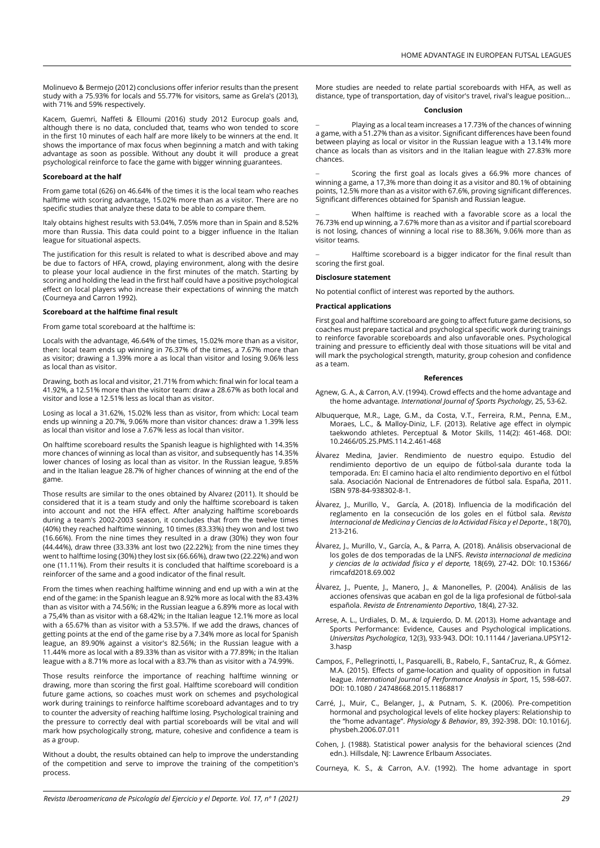Molinuevo & Bermejo (2012) conclusions offer inferior results than the present study with a 75.93% for locals and 55.77% for visitors, same as Grela's (2013), with 71% and 59% respectively.

Kacem, Guemri, Naffeti & Elloumi (2016) study 2012 Eurocup goals and, although there is no data, concluded that, teams who won tended to score in the first 10 minutes of each half are more likely to be winners at the end. It shows the importance of max focus when beginning a match and with taking advantage as soon as possible. Without any doubt it will produce a great psychological reinforce to face the game with bigger winning guarantees.

### **Scoreboard at the half**

From game total (626) on 46.64% of the times it is the local team who reaches halftime with scoring advantage, 15.02% more than as a visitor. There are no specific studies that analyze these data to be able to compare them.

Italy obtains highest results with 53.04%, 7.05% more than in Spain and 8.52% more than Russia. This data could point to a bigger influence in the Italian league for situational aspects.

The justification for this result is related to what is described above and may be due to factors of HFA, crowd, playing environment, along with the desire to please your local audience in the first minutes of the match. Starting by scoring and holding the lead in the first half could have a positive psychological effect on local players who increase their expectations of winning the match (Courneya and Carron 1992).

## **Scoreboard at the halftime final result**

From game total scoreboard at the halftime is:

Locals with the advantage, 46.64% of the times, 15.02% more than as a visitor, then: local team ends up winning in 76.37% of the times, a 7.67% more than as visitor; drawing a 1.39% more a as local than visitor and losing 9.06% less as local than as visitor.

Drawing, both as local and visitor, 21.71% from which: final win for local team a 41.92%, a 12.51% more than the visitor team: draw a 28.67% as both local and visitor and lose a 12.51% less as local than as visitor.

Losing as local a 31.62%, 15.02% less than as visitor, from which: Local team ends up winning a 20.7%, 9.06% more than visitor chances: draw a 1.39% less as local than visitor and lose a 7.67% less as local than visitor.

On halftime scoreboard results the Spanish league is highlighted with 14.35% more chances of winning as local than as visitor, and subsequently has 14.35% lower chances of losing as local than as visitor. In the Russian league, 9.85% and in the Italian league 28.7% of higher chances of winning at the end of the game.

Those results are similar to the ones obtained by Alvarez (2011). It should be considered that it is a team study and only the halftime scoreboard is taken into account and not the HFA effect. After analyzing halftime scoreboards during a team's 2002-2003 season, it concludes that from the twelve times (40%) they reached halftime winning, 10 times (83.33%) they won and lost two (16.66%). From the nine times they resulted in a draw (30%) they won four (44.44%), draw three (33.33% ant lost two (22.22%); from the nine times they went to halftime losing (30%) they lost six (66.66%), draw two (22.22%) and won one (11.11%). From their results it is concluded that halftime scoreboard is a reinforcer of the same and a good indicator of the final result.

From the times when reaching halftime winning and end up with a win at the end of the game: in the Spanish league an 8.92% more as local with the 83.43% than as visitor with a 74.56%; in the Russian league a 6.89% more as local with a 75,4% than as visitor with a 68.42%; in the Italian league 12.1% more as local with a 65.67% than as visitor with a 53.57%. If we add the draws, chances of getting points at the end of the game rise by a 7.34% more as local for Spanish league, an 89.90% against a visitor's 82.56%; in the Russian league with a 11.44% more as local with a 89.33% than as visitor with a 77.89%; in the Italian league with a 8.71% more as local with a 83.7% than as visitor with a 74.99%.

Those results reinforce the importance of reaching halftime winning or drawing, more than scoring the first goal. Halftime scoreboard will condition future game actions, so coaches must work on schemes and psychological work during trainings to reinforce halftime scoreboard advantages and to try to counter the adversity of reaching halftime losing. Psychological training and the pressure to correctly deal with partial scoreboards will be vital and will mark how psychologically strong, mature, cohesive and confidence a team is as a group.

Without a doubt, the results obtained can help to improve the understanding of the competition and serve to improve the training of the competition's process.

More studies are needed to relate partial scoreboards with HFA, as well as distance, type of transportation, day of visitor's travel, rival's league position...

## **Conclusion**

Playing as a local team increases a 17.73% of the chances of winning a game, with a 51.27% than as a visitor. Significant differences have been found between playing as local or visitor in the Russian league with a 13.14% more chance as locals than as visitors and in the Italian league with 27.83% more chances.

Scoring the first goal as locals gives a 66.9% more chances of winning a game, a 17,3% more than doing it as a visitor and 80.1% of obtaining points, 12.5% more than as a visitor with 67.6%, proving significant differences. Significant differences obtained for Spanish and Russian league.

When halftime is reached with a favorable score as a local the 76.73% end up winning, a 7.67% more than as a visitor and if partial scoreboard is not losing, chances of winning a local rise to 88.36%, 9.06% more than as visitor teams.

Halftime scoreboard is a bigger indicator for the final result than scoring the first goal.

#### **Disclosure statement**

No potential conflict of interest was reported by the authors.

# **Practical applications**

First goal and halftime scoreboard are going to affect future game decisions, so coaches must prepare tactical and psychological specific work during trainings to reinforce favorable scoreboards and also unfavorable ones. Psychological training and pressure to efficiently deal with those situations will be vital and will mark the psychological strength, maturity, group cohesion and confidence as a team.

## **References**

- Agnew, G. A., & Carron, A.V. (1994). Crowd effects and the home advantage and the home advantage. *International Journal of Sports Psychology*, 25, 53-62.
- Albuquerque, M.R., Lage, G.M., da Costa, V.T., Ferreira, R.M., Penna, E.M., Moraes, L.C., & Malloy-Diniz, L.F. (2013). Relative age effect in olympic taekwondo athletes. Perceptual & Motor Skills, 114(2): 461-468. DOI: 10.2466/05.25.PMS.114.2.461-468
- Álvarez Medina, Javier. Rendimiento de nuestro equipo. Estudio del rendimiento deportivo de un equipo de fútbol-sala durante toda la temporada. En: El camino hacia el alto rendimiento deportivo en el fútbol sala. Asociación Nacional de Entrenadores de fútbol sala. España, 2011. ISBN 978-84-938302-8-1.
- Álvarez, J., Murillo, V., García, A. (2018). Influencia de la modificación del reglamento en la consecución de los goles en el fútbol sala. *Revista Internacional de Medicina y Ciencias de la Actividad Física y el Deporte*., 18(70), 213-216.
- Álvarez, J., Murillo, V., García, A., & Parra, A. (2018). Análisis observacional de los goles de dos temporadas de la LNFS. *Revista internacional de medicina y ciencias de la actividad física y el deporte,* 18(69), 27-42. DOI: 10.15366/ rimcafd2018.69.002
- Álvarez, J., Puente, J., Manero, J., & Manonelles, P. (2004). Análisis de las acciones ofensivas que acaban en gol de la liga profesional de fútbol-sala española. *Revista de Entrenamiento Deportivo*, 18(4), 27-32.
- Arrese, A. L., Urdiales, D. M., & Izquierdo, D. M. (2013). Home advantage and Sports Performance: Evidence, Causes and Psychological implications. *Universitas Psychologica*, 12(3), 933-943. DOI: 10.11144 / Javeriana.UPSY12- 3.hasp
- Campos, F., Pellegrinotti, I., Pasquarelli, B., Rabelo, F., SantaCruz, R., & Gómez. M.A. (2015). Effects of game-location and quality of opposition in futsal league. *International Journal of Performance Analysis in Sport*, 15, 598-607. DOI: 10.1080 / 24748668.2015.11868817
- Carré, J., Muir, C., Belanger, J., & Putnam, S. K. (2006). Pre-competition hormonal and psychological levels of elite hockey players: Relationship to the "home advantage". *Physiology & Behavior*, 89, 392-398. DOI: [10.1016/j.](https://psycnet.apa.org/doi/10.1016/j.physbeh.2006.07.011) [physbeh.2006.07.011](https://psycnet.apa.org/doi/10.1016/j.physbeh.2006.07.011)
- Cohen, J. (1988). Statistical power analysis for the behavioral sciences (2nd edn.). Hillsdale, NJ: Lawrence Erlbaum Associates.

Courneya, K. S., & Carron, A.V. (1992). The home advantage in sport